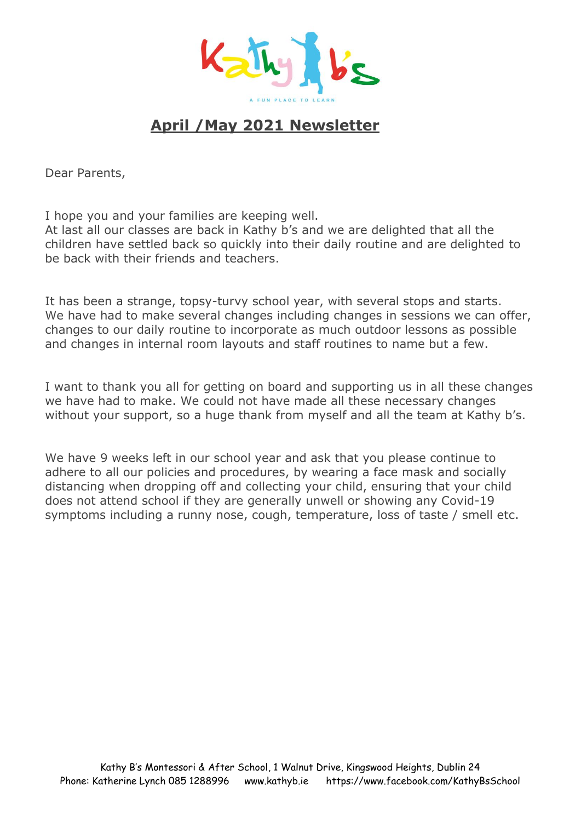

# **April /May 2021 Newsletter**

Dear Parents,

I hope you and your families are keeping well.

At last all our classes are back in Kathy b's and we are delighted that all the children have settled back so quickly into their daily routine and are delighted to be back with their friends and teachers.

It has been a strange, topsy-turvy school year, with several stops and starts. We have had to make several changes including changes in sessions we can offer, changes to our daily routine to incorporate as much outdoor lessons as possible and changes in internal room layouts and staff routines to name but a few.

I want to thank you all for getting on board and supporting us in all these changes we have had to make. We could not have made all these necessary changes without your support, so a huge thank from myself and all the team at Kathy b's.

We have 9 weeks left in our school year and ask that you please continue to adhere to all our policies and procedures, by wearing a face mask and socially distancing when dropping off and collecting your child, ensuring that your child does not attend school if they are generally unwell or showing any Covid-19 symptoms including a runny nose, cough, temperature, loss of taste / smell etc.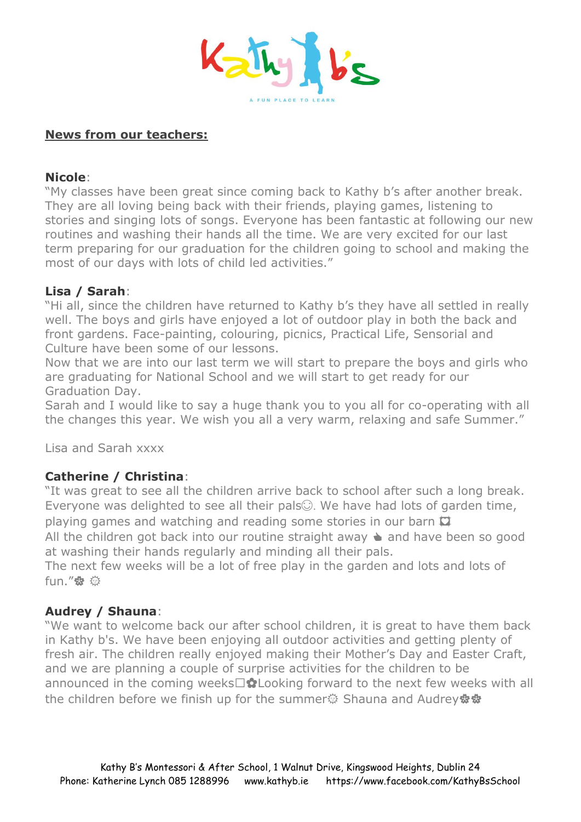

# **News from our teachers:**

#### **Nicole**:

"My classes have been great since coming back to Kathy b's after another break. They are all loving being back with their friends, playing games, listening to stories and singing lots of songs. Everyone has been fantastic at following our new routines and washing their hands all the time. We are very excited for our last term preparing for our graduation for the children going to school and making the most of our days with lots of child led activities."

## **Lisa / Sarah**:

"Hi all, since the children have returned to Kathy b's they have all settled in really well. The boys and girls have enjoyed a lot of outdoor play in both the back and front gardens. Face-painting, colouring, picnics, Practical Life, Sensorial and Culture have been some of our lessons.

Now that we are into our last term we will start to prepare the boys and girls who are graduating for National School and we will start to get ready for our Graduation Day.

Sarah and I would like to say a huge thank you to you all for co-operating with all the changes this year. We wish you all a very warm, relaxing and safe Summer."

Lisa and Sarah xxxx

## **Catherine / Christina**:

"It was great to see all the children arrive back to school after such a long break. Everyone was delighted to see all their pals $\odot$ . We have had lots of garden time, playing games and watching and reading some stories in our barn  $\Box$ All the children got back into our routine straight away  $\triangle$  and have been so good at washing their hands regularly and minding all their pals. The next few weeks will be a lot of free play in the garden and lots and lots of fun."盘 章

# **Audrey / Shauna**:

"We want to welcome back our after school children, it is great to have them back in Kathy b's. We have been enjoying all outdoor activities and getting plenty of fresh air. The children really enjoyed making their Mother's Day and Easter Craft, and we are planning a couple of surprise activities for the children to be announced in the coming weeks $\Box$  C Looking forward to the next few weeks with all the children before we finish up for the summer發 Shauna and Audrey※※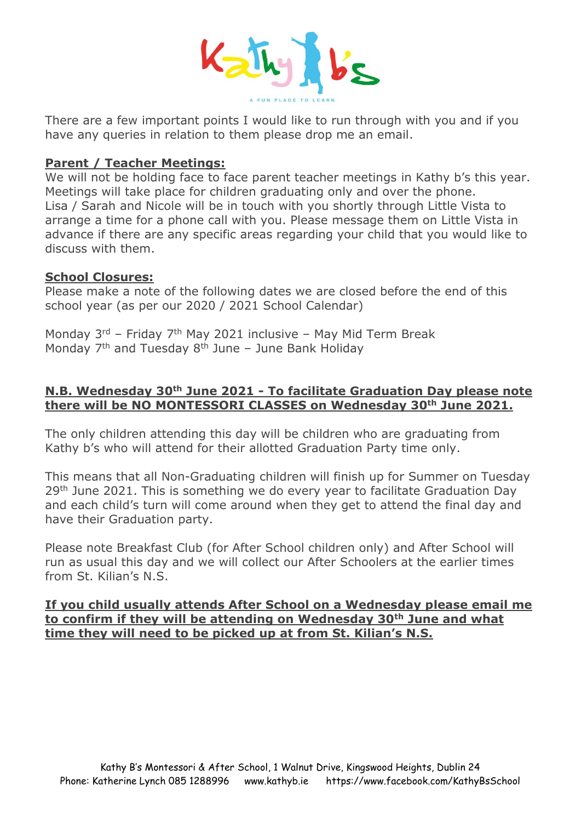

There are a few important points I would like to run through with you and if you have any queries in relation to them please drop me an email.

#### **Parent / Teacher Meetings:**

We will not be holding face to face parent teacher meetings in Kathy b's this year. Meetings will take place for children graduating only and over the phone. Lisa / Sarah and Nicole will be in touch with you shortly through Little Vista to arrange a time for a phone call with you. Please message them on Little Vista in advance if there are any specific areas regarding your child that you would like to discuss with them.

#### **School Closures:**

Please make a note of the following dates we are closed before the end of this school year (as per our 2020 / 2021 School Calendar)

Monday 3<sup>rd</sup> - Friday 7<sup>th</sup> May 2021 inclusive - May Mid Term Break Monday 7<sup>th</sup> and Tuesday 8<sup>th</sup> June - June Bank Holiday

## **N.B. Wednesday 30th June 2021 - To facilitate Graduation Day please note there will be NO MONTESSORI CLASSES on Wednesday 30th June 2021.**

The only children attending this day will be children who are graduating from Kathy b's who will attend for their allotted Graduation Party time only.

This means that all Non-Graduating children will finish up for Summer on Tuesday 29<sup>th</sup> June 2021. This is something we do every year to facilitate Graduation Day and each child's turn will come around when they get to attend the final day and have their Graduation party.

Please note Breakfast Club (for After School children only) and After School will run as usual this day and we will collect our After Schoolers at the earlier times from St. Kilian's N.S.

## **If you child usually attends After School on a Wednesday please email me to confirm if they will be attending on Wednesday 30th June and what time they will need to be picked up at from St. Kilian's N.S.**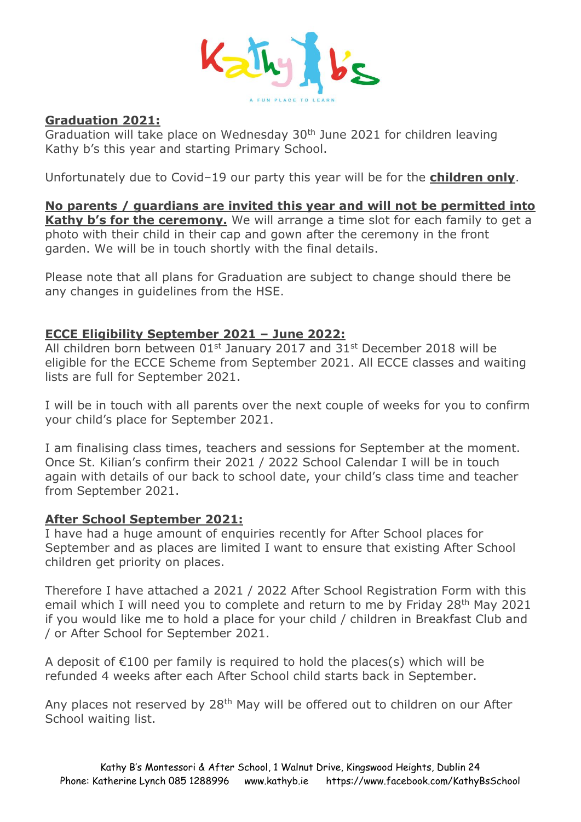

## **Graduation 2021:**

Graduation will take place on Wednesday  $30<sup>th</sup>$  June 2021 for children leaving Kathy b's this year and starting Primary School.

Unfortunately due to Covid–19 our party this year will be for the **children only**.

**No parents / guardians are invited this year and will not be permitted into Kathy b's for the ceremony.** We will arrange a time slot for each family to get a photo with their child in their cap and gown after the ceremony in the front garden. We will be in touch shortly with the final details.

Please note that all plans for Graduation are subject to change should there be any changes in guidelines from the HSE.

## **ECCE Eligibility September 2021 – June 2022:**

All children born between  $01<sup>st</sup>$  January 2017 and 31 $<sup>st</sup>$  December 2018 will be</sup> eligible for the ECCE Scheme from September 2021. All ECCE classes and waiting lists are full for September 2021.

I will be in touch with all parents over the next couple of weeks for you to confirm your child's place for September 2021.

I am finalising class times, teachers and sessions for September at the moment. Once St. Kilian's confirm their 2021 / 2022 School Calendar I will be in touch again with details of our back to school date, your child's class time and teacher from September 2021.

## **After School September 2021:**

I have had a huge amount of enquiries recently for After School places for September and as places are limited I want to ensure that existing After School children get priority on places.

Therefore I have attached a 2021 / 2022 After School Registration Form with this email which I will need you to complete and return to me by Friday 28th May 2021 if you would like me to hold a place for your child / children in Breakfast Club and / or After School for September 2021.

A deposit of  $E100$  per family is required to hold the places(s) which will be refunded 4 weeks after each After School child starts back in September.

Any places not reserved by 28<sup>th</sup> May will be offered out to children on our After School waiting list.